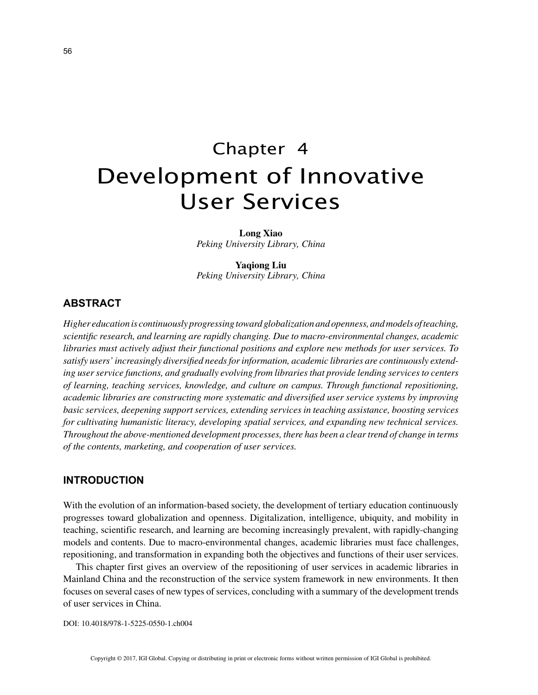# Chapter 4 Development of Innovative User Services

**Long Xiao** *Peking University Library, China*

**Yaqiong Liu** *Peking University Library, China*

#### **ABSTRACT**

*Higher education is continuously progressing toward globalization and openness, and models of teaching, scientific research, and learning are rapidly changing. Due to macro-environmental changes, academic libraries must actively adjust their functional positions and explore new methods for user services. To satisfy users' increasingly diversified needs for information, academic libraries are continuously extending user service functions, and gradually evolving from libraries that provide lending services to centers of learning, teaching services, knowledge, and culture on campus. Through functional repositioning, academic libraries are constructing more systematic and diversified user service systems by improving basic services, deepening support services, extending services in teaching assistance, boosting services for cultivating humanistic literacy, developing spatial services, and expanding new technical services. Throughout the above-mentioned development processes, there has been a clear trend of change in terms of the contents, marketing, and cooperation of user services.*

#### **INTRODUCTION**

With the evolution of an information-based society, the development of tertiary education continuously progresses toward globalization and openness. Digitalization, intelligence, ubiquity, and mobility in teaching, scientific research, and learning are becoming increasingly prevalent, with rapidly-changing models and contents. Due to macro-environmental changes, academic libraries must face challenges, repositioning, and transformation in expanding both the objectives and functions of their user services.

This chapter first gives an overview of the repositioning of user services in academic libraries in Mainland China and the reconstruction of the service system framework in new environments. It then focuses on several cases of new types of services, concluding with a summary of the development trends of user services in China.

DOI: 10.4018/978-1-5225-0550-1.ch004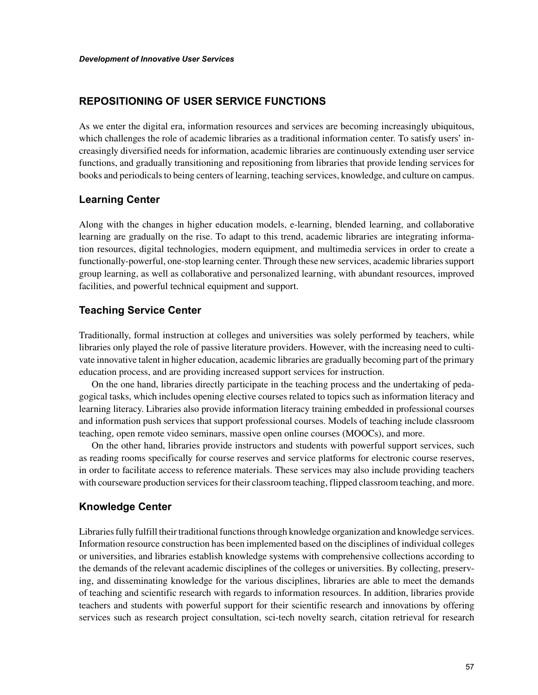# **REPOSITIONING OF USER SERVICE FUNCTIONS**

As we enter the digital era, information resources and services are becoming increasingly ubiquitous, which challenges the role of academic libraries as a traditional information center. To satisfy users' increasingly diversified needs for information, academic libraries are continuously extending user service functions, and gradually transitioning and repositioning from libraries that provide lending services for books and periodicals to being centers of learning, teaching services, knowledge, and culture on campus.

# **Learning Center**

Along with the changes in higher education models, e-learning, blended learning, and collaborative learning are gradually on the rise. To adapt to this trend, academic libraries are integrating information resources, digital technologies, modern equipment, and multimedia services in order to create a functionally-powerful, one-stop learning center. Through these new services, academic libraries support group learning, as well as collaborative and personalized learning, with abundant resources, improved facilities, and powerful technical equipment and support.

# **Teaching Service Center**

Traditionally, formal instruction at colleges and universities was solely performed by teachers, while libraries only played the role of passive literature providers. However, with the increasing need to cultivate innovative talent in higher education, academic libraries are gradually becoming part of the primary education process, and are providing increased support services for instruction.

On the one hand, libraries directly participate in the teaching process and the undertaking of pedagogical tasks, which includes opening elective courses related to topics such as information literacy and learning literacy. Libraries also provide information literacy training embedded in professional courses and information push services that support professional courses. Models of teaching include classroom teaching, open remote video seminars, massive open online courses (MOOCs), and more.

On the other hand, libraries provide instructors and students with powerful support services, such as reading rooms specifically for course reserves and service platforms for electronic course reserves, in order to facilitate access to reference materials. These services may also include providing teachers with courseware production services for their classroom teaching, flipped classroom teaching, and more.

# **Knowledge Center**

Libraries fully fulfill their traditional functions through knowledge organization and knowledge services. Information resource construction has been implemented based on the disciplines of individual colleges or universities, and libraries establish knowledge systems with comprehensive collections according to the demands of the relevant academic disciplines of the colleges or universities. By collecting, preserving, and disseminating knowledge for the various disciplines, libraries are able to meet the demands of teaching and scientific research with regards to information resources. In addition, libraries provide teachers and students with powerful support for their scientific research and innovations by offering services such as research project consultation, sci-tech novelty search, citation retrieval for research